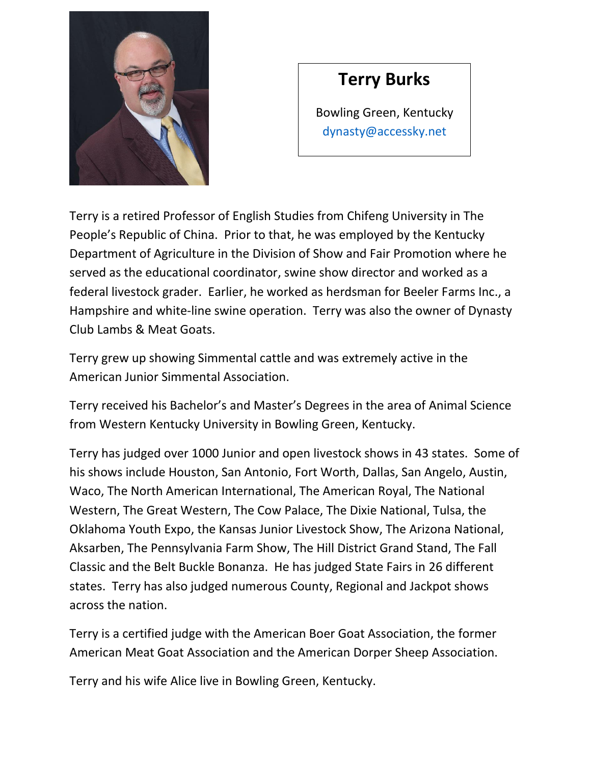

## **Terry Burks**

Bowling Green, Kentucky [dynasty@accessky.net](mailto:dynasty@accessky.net)

Terry is a retired Professor of English Studies from Chifeng University in The People's Republic of China. Prior to that, he was employed by the Kentucky Department of Agriculture in the Division of Show and Fair Promotion where he served as the educational coordinator, swine show director and worked as a federal livestock grader. Earlier, he worked as herdsman for Beeler Farms Inc., a Hampshire and white-line swine operation. Terry was also the owner of Dynasty Club Lambs & Meat Goats.

Terry grew up showing Simmental cattle and was extremely active in the American Junior Simmental Association.

Terry received his Bachelor's and Master's Degrees in the area of Animal Science from Western Kentucky University in Bowling Green, Kentucky.

Terry has judged over 1000 Junior and open livestock shows in 43 states. Some of his shows include Houston, San Antonio, Fort Worth, Dallas, San Angelo, Austin, Waco, The North American International, The American Royal, The National Western, The Great Western, The Cow Palace, The Dixie National, Tulsa, the Oklahoma Youth Expo, the Kansas Junior Livestock Show, The Arizona National, Aksarben, The Pennsylvania Farm Show, The Hill District Grand Stand, The Fall Classic and the Belt Buckle Bonanza. He has judged State Fairs in 26 different states. Terry has also judged numerous County, Regional and Jackpot shows across the nation.

Terry is a certified judge with the American Boer Goat Association, the former American Meat Goat Association and the American Dorper Sheep Association.

Terry and his wife Alice live in Bowling Green, Kentucky.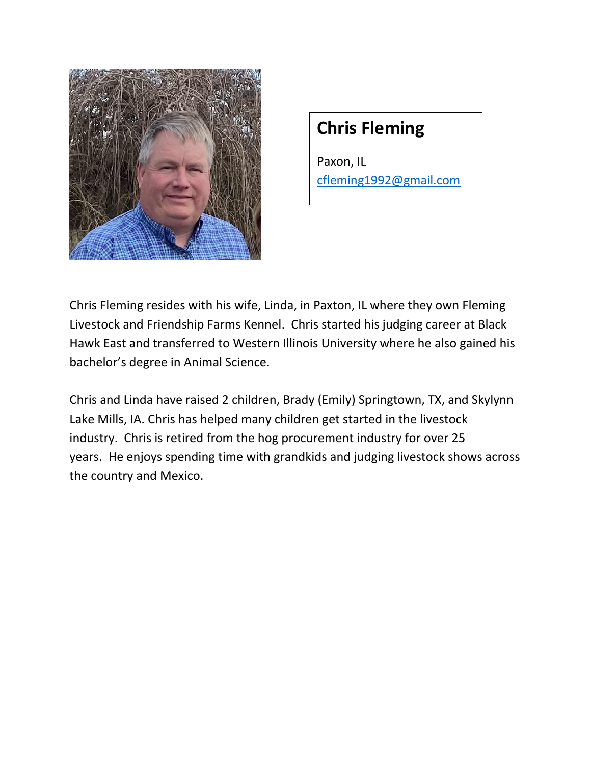

## **Chris Fleming**

Paxon, IL cfleming1992@gmail.com

Chris Fleming resides with his wife, Linda, in Paxton, IL where they own Fleming Livestock and Friendship Farms Kennel. Chris started his judging career at Black Hawk East and transferred to Western Illinois University where he also gained his bachelor's degree in Animal Science.

Chris and Linda have raised 2 children, Brady (Emily) Springtown, TX, and Skylynn Lake Mills, IA. Chris has helped many children get started in the livestock industry. Chris is retired from the hog procurement industry for over 25 years. He enjoys spending time with grandkids and judging livestock shows across the country and Mexico.